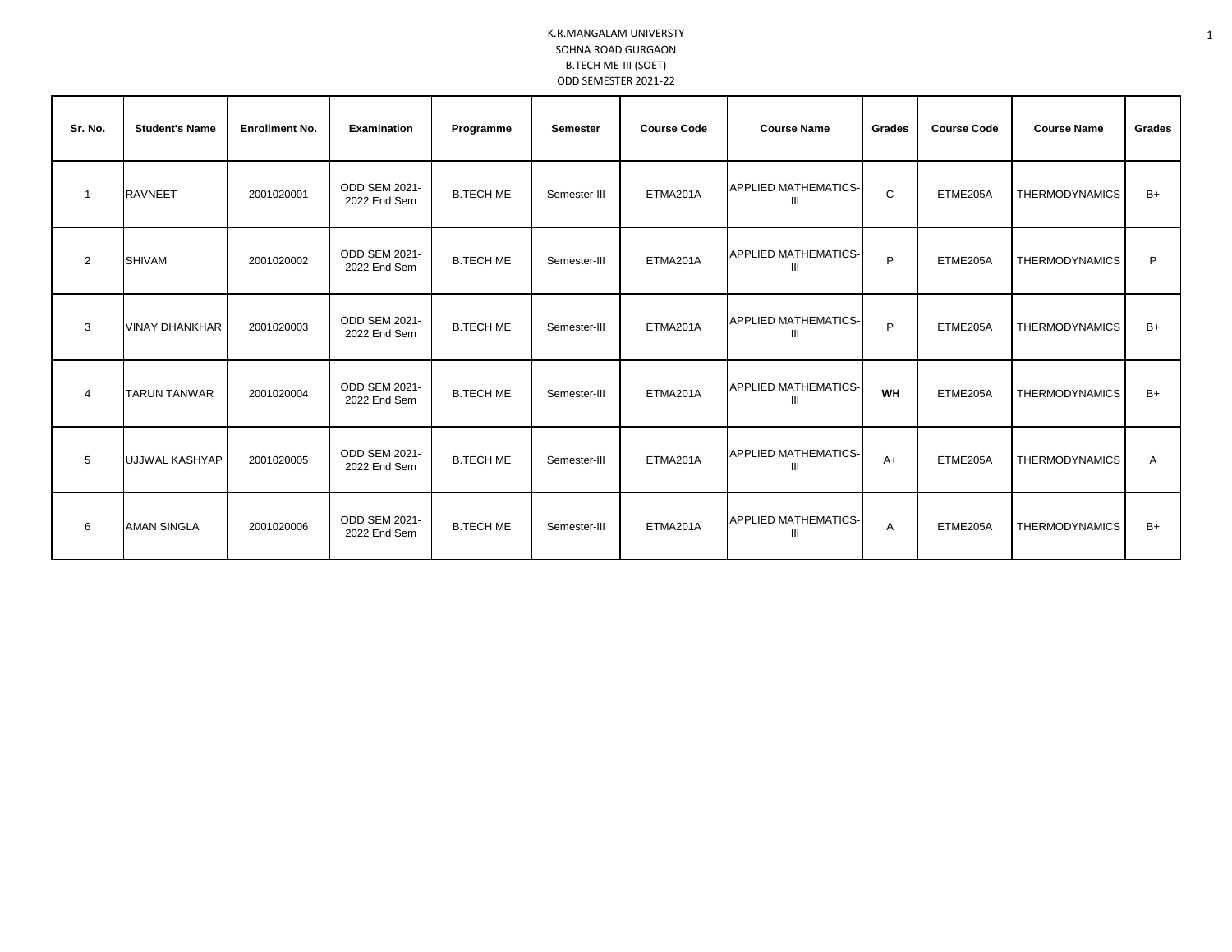| Sr. No.        | <b>Student's Name</b> | <b>Enrollment No.</b> | <b>Examination</b>                   | Programme        | <b>Semester</b> | <b>Course Code</b> | <b>Course Name</b>               | Grades | <b>Course Code</b> | <b>Course Name</b>    | Grades       |
|----------------|-----------------------|-----------------------|--------------------------------------|------------------|-----------------|--------------------|----------------------------------|--------|--------------------|-----------------------|--------------|
| 1              | <b>RAVNEET</b>        | 2001020001            | ODD SEM 2021-<br>2022 End Sem        | <b>B.TECH ME</b> | Semester-III    | ETMA201A           | <b>APPLIED MATHEMATICS-</b><br>Ш | C      | ETME205A           | <b>THERMODYNAMICS</b> | $B+$         |
| $\overline{2}$ | <b>SHIVAM</b>         | 2001020002            | <b>ODD SEM 2021-</b><br>2022 End Sem | <b>B.TECH ME</b> | Semester-III    | ETMA201A           | <b>APPLIED MATHEMATICS-</b><br>Ш | P      | ETME205A           | <b>THERMODYNAMICS</b> | P            |
| 3              | <b>VINAY DHANKHAR</b> | 2001020003            | ODD SEM 2021-<br>2022 End Sem        | <b>B.TECH ME</b> | Semester-III    | ETMA201A           | <b>APPLIED MATHEMATICS-</b><br>Ш | P      | ETME205A           | <b>THERMODYNAMICS</b> | $B+$         |
| 4              | <b>TARUN TANWAR</b>   | 2001020004            | ODD SEM 2021-<br>2022 End Sem        | <b>B.TECH ME</b> | Semester-III    | ETMA201A           | <b>APPLIED MATHEMATICS-</b><br>Ш | WH     | ETME205A           | <b>THERMODYNAMICS</b> | $B+$         |
| 5              | UJJWAL KASHYAP        | 2001020005            | ODD SEM 2021-<br>2022 End Sem        | <b>B.TECH ME</b> | Semester-III    | ETMA201A           | <b>APPLIED MATHEMATICS-</b><br>Ш | $A+$   | ETME205A           | <b>THERMODYNAMICS</b> | $\mathsf{A}$ |
| 6              | <b>AMAN SINGLA</b>    | 2001020006            | <b>ODD SEM 2021-</b><br>2022 End Sem | <b>B.TECH ME</b> | Semester-III    | ETMA201A           | <b>APPLIED MATHEMATICS-</b><br>ш | A      | ETME205A           | <b>THERMODYNAMICS</b> | $B+$         |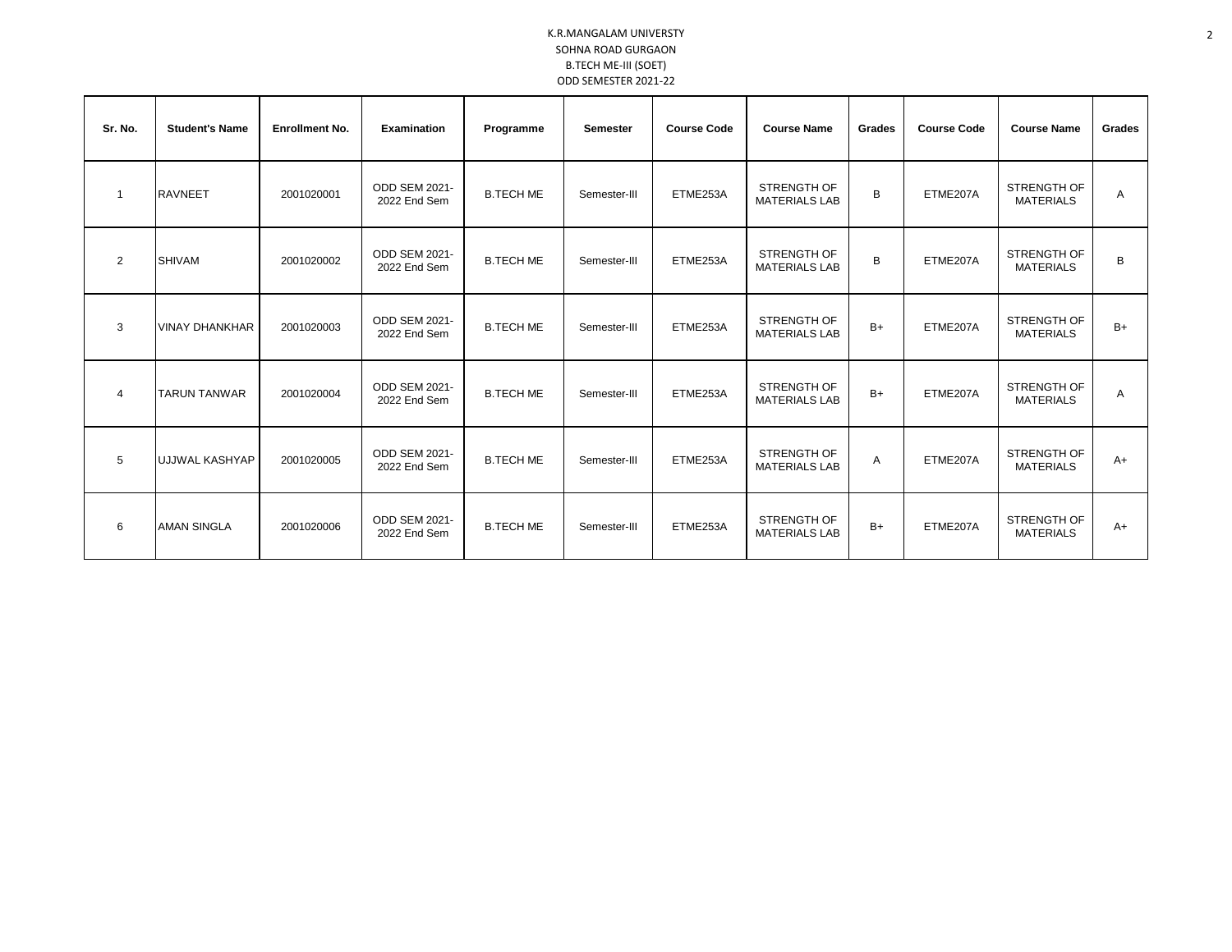| Sr. No.     | <b>Student's Name</b> | <b>Enrollment No.</b> | Examination                          | Programme        | <b>Semester</b> | <b>Course Code</b> | <b>Course Name</b>                         | Grades | <b>Course Code</b> | <b>Course Name</b>                     | Grades |
|-------------|-----------------------|-----------------------|--------------------------------------|------------------|-----------------|--------------------|--------------------------------------------|--------|--------------------|----------------------------------------|--------|
| $\mathbf 1$ | <b>RAVNEET</b>        | 2001020001            | ODD SEM 2021-<br>2022 End Sem        | <b>B.TECH ME</b> | Semester-III    | ETME253A           | STRENGTH OF<br><b>MATERIALS LAB</b>        | B      | ETME207A           | <b>STRENGTH OF</b><br><b>MATERIALS</b> | Α      |
| 2           | <b>SHIVAM</b>         | 2001020002            | ODD SEM 2021-<br>2022 End Sem        | <b>B.TECH ME</b> | Semester-III    | ETME253A           | <b>STRENGTH OF</b><br><b>MATERIALS LAB</b> | B      | ETME207A           | <b>STRENGTH OF</b><br><b>MATERIALS</b> | B      |
| 3           | <b>VINAY DHANKHAR</b> | 2001020003            | <b>ODD SEM 2021-</b><br>2022 End Sem | <b>B.TECH ME</b> | Semester-III    | ETME253A           | <b>STRENGTH OF</b><br><b>MATERIALS LAB</b> | $B+$   | ETME207A           | STRENGTH OF<br><b>MATERIALS</b>        | $B+$   |
| 4           | <b>TARUN TANWAR</b>   | 2001020004            | ODD SEM 2021-<br>2022 End Sem        | <b>B.TECH ME</b> | Semester-III    | ETME253A           | STRENGTH OF<br><b>MATERIALS LAB</b>        | $B+$   | ETME207A           | <b>STRENGTH OF</b><br><b>MATERIALS</b> | Α      |
| 5           | UJJWAL KASHYAP        | 2001020005            | <b>ODD SEM 2021-</b><br>2022 End Sem | <b>B.TECH ME</b> | Semester-III    | ETME253A           | STRENGTH OF<br><b>MATERIALS LAB</b>        | A      | ETME207A           | <b>STRENGTH OF</b><br><b>MATERIALS</b> | $A+$   |
| 6           | <b>AMAN SINGLA</b>    | 2001020006            | <b>ODD SEM 2021-</b><br>2022 End Sem | <b>B.TECH ME</b> | Semester-III    | ETME253A           | STRENGTH OF<br><b>MATERIALS LAB</b>        | $B+$   | ETME207A           | STRENGTH OF<br><b>MATERIALS</b>        | $A+$   |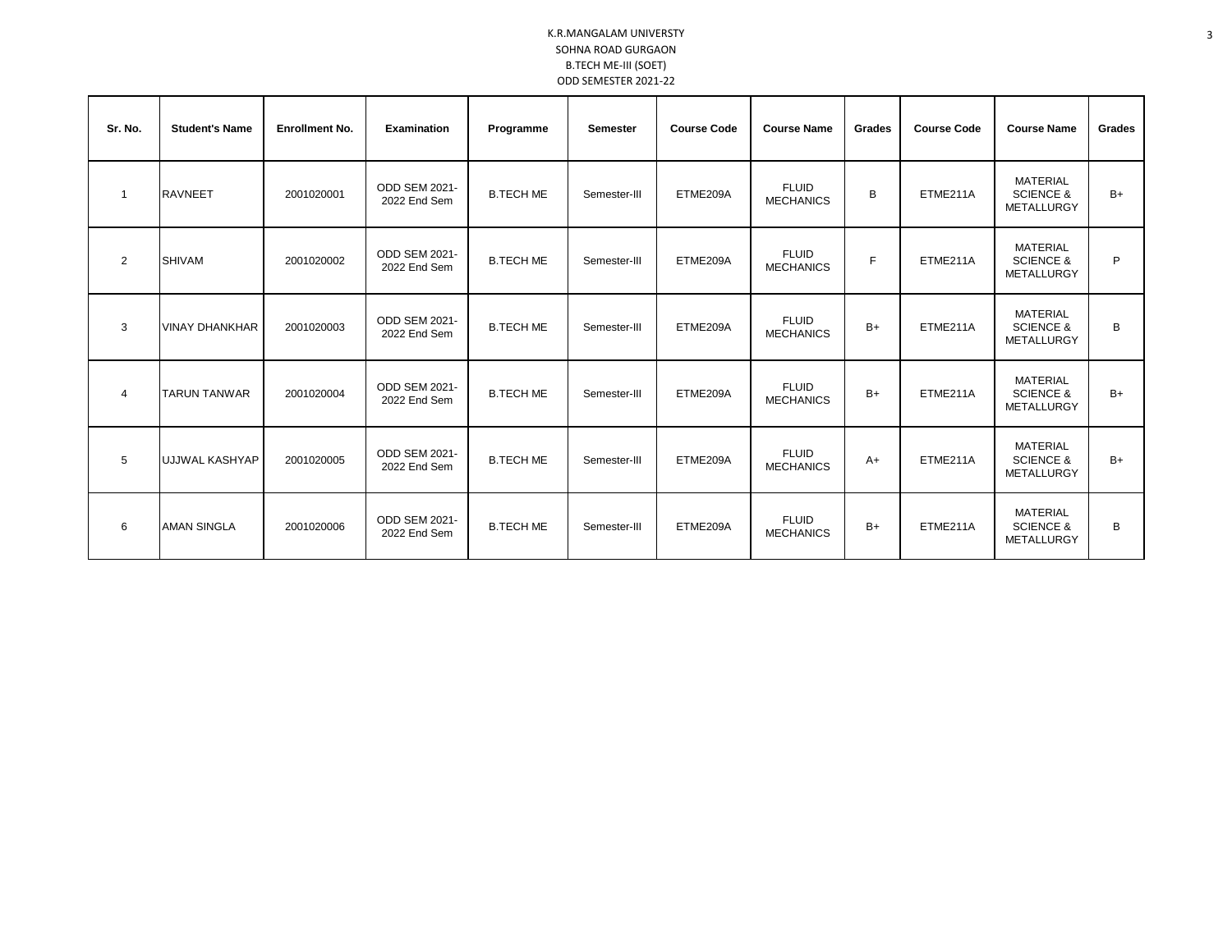| Sr. No.        | <b>Student's Name</b> | <b>Enrollment No.</b> | <b>Examination</b>                   | Programme        | <b>Semester</b> | <b>Course Code</b> | <b>Course Name</b>               | Grades | <b>Course Code</b> | <b>Course Name</b>                                    | Grades |
|----------------|-----------------------|-----------------------|--------------------------------------|------------------|-----------------|--------------------|----------------------------------|--------|--------------------|-------------------------------------------------------|--------|
| $\overline{1}$ | <b>RAVNEET</b>        | 2001020001            | ODD SEM 2021-<br>2022 End Sem        | <b>B.TECH ME</b> | Semester-III    | ETME209A           | <b>FLUID</b><br><b>MECHANICS</b> | B      | ETME211A           | <b>MATERIAL</b><br><b>SCIENCE &amp;</b><br>METALLURGY | $B+$   |
| 2              | <b>SHIVAM</b>         | 2001020002            | <b>ODD SEM 2021-</b><br>2022 End Sem | <b>B.TECH ME</b> | Semester-III    | ETME209A           | <b>FLUID</b><br><b>MECHANICS</b> | E      | ETME211A           | <b>MATERIAL</b><br><b>SCIENCE &amp;</b><br>METALLURGY | P      |
| 3              | <b>VINAY DHANKHAR</b> | 2001020003            | <b>ODD SEM 2021-</b><br>2022 End Sem | <b>B.TECH ME</b> | Semester-III    | ETME209A           | <b>FLUID</b><br><b>MECHANICS</b> | $B+$   | ETME211A           | <b>MATERIAL</b><br><b>SCIENCE &amp;</b><br>METALLURGY | B      |
| $\overline{4}$ | <b>TARUN TANWAR</b>   | 2001020004            | <b>ODD SEM 2021-</b><br>2022 End Sem | <b>B.TECH ME</b> | Semester-III    | ETME209A           | <b>FLUID</b><br><b>MECHANICS</b> | $B+$   | ETME211A           | <b>MATERIAL</b><br><b>SCIENCE &amp;</b><br>METALLURGY | $B+$   |
| 5              | UJJWAL KASHYAP        | 2001020005            | <b>ODD SEM 2021-</b><br>2022 End Sem | <b>B.TECH ME</b> | Semester-III    | ETME209A           | <b>FLUID</b><br><b>MECHANICS</b> | $A+$   | ETME211A           | <b>MATERIAL</b><br><b>SCIENCE &amp;</b><br>METALLURGY | $B+$   |
| 6              | <b>AMAN SINGLA</b>    | 2001020006            | <b>ODD SEM 2021-</b><br>2022 End Sem | <b>B.TECH ME</b> | Semester-III    | ETME209A           | <b>FLUID</b><br><b>MECHANICS</b> | $B+$   | ETME211A           | <b>MATERIAL</b><br><b>SCIENCE &amp;</b><br>METALLURGY | B      |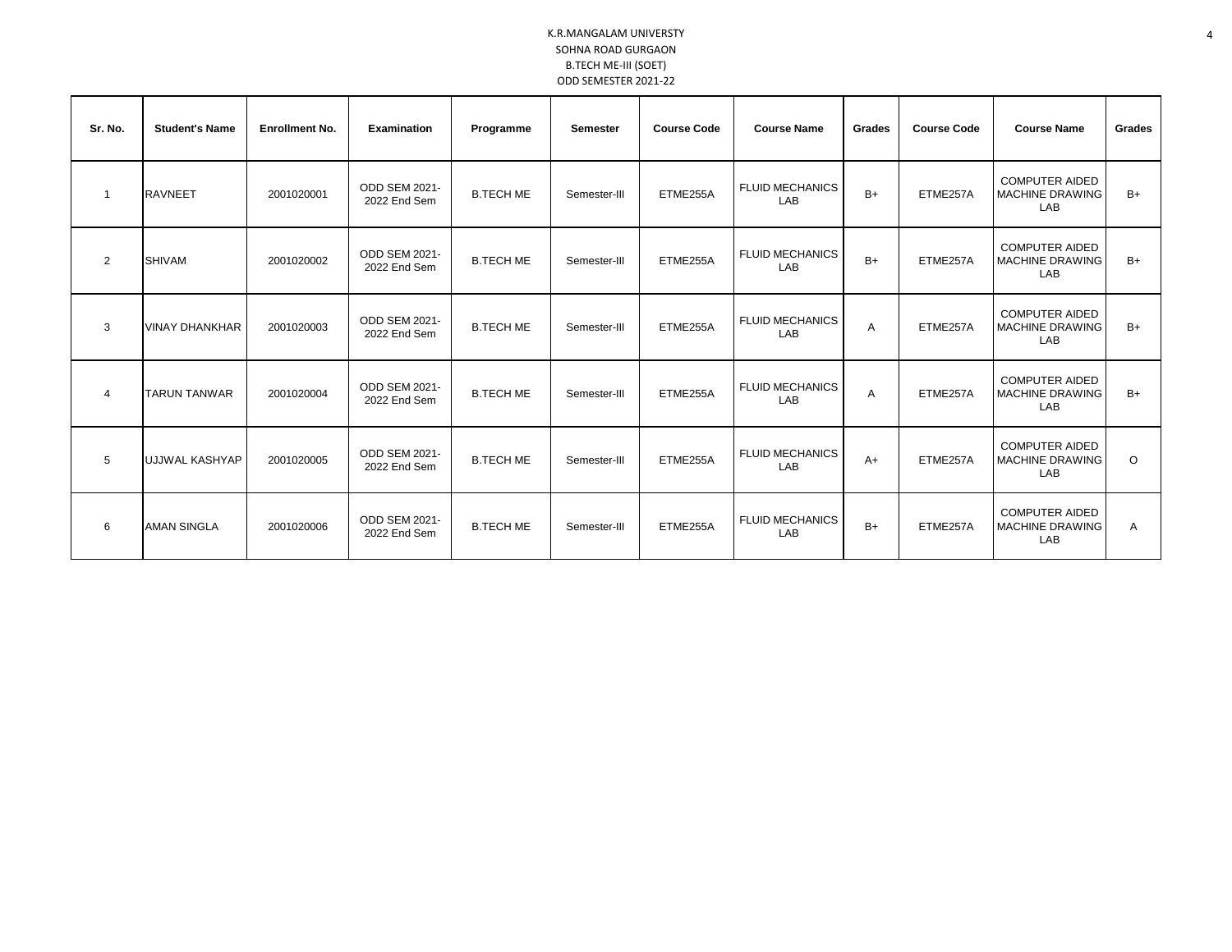| Sr. No.        | <b>Student's Name</b> | <b>Enrollment No.</b> | <b>Examination</b>                   | Programme        | Semester     | <b>Course Code</b> | <b>Course Name</b>            | Grades | <b>Course Code</b> | <b>Course Name</b>                                     | Grades  |
|----------------|-----------------------|-----------------------|--------------------------------------|------------------|--------------|--------------------|-------------------------------|--------|--------------------|--------------------------------------------------------|---------|
|                | <b>RAVNEET</b>        | 2001020001            | ODD SEM 2021-<br>2022 End Sem        | <b>B.TECH ME</b> | Semester-III | ETME255A           | <b>FLUID MECHANICS</b><br>LAB | $B+$   | ETME257A           | <b>COMPUTER AIDED</b><br>MACHINE DRAWING<br>LAB        | $B+$    |
| 2              | <b>SHIVAM</b>         | 2001020002            | <b>ODD SEM 2021-</b><br>2022 End Sem | <b>B.TECH ME</b> | Semester-III | ETME255A           | <b>FLUID MECHANICS</b><br>LAB | $B+$   | ETME257A           | <b>COMPUTER AIDED</b><br>MACHINE DRAWING<br>LAB        | $B+$    |
| 3              | <b>VINAY DHANKHAR</b> | 2001020003            | <b>ODD SEM 2021-</b><br>2022 End Sem | <b>B.TECH ME</b> | Semester-III | ETME255A           | <b>FLUID MECHANICS</b><br>LAB | A      | ETME257A           | <b>COMPUTER AIDED</b><br><b>MACHINE DRAWING</b><br>LAB | $B+$    |
| $\overline{4}$ | <b>TARUN TANWAR</b>   | 2001020004            | <b>ODD SEM 2021-</b><br>2022 End Sem | <b>B.TECH ME</b> | Semester-III | ETME255A           | <b>FLUID MECHANICS</b><br>LAB | A      | ETME257A           | <b>COMPUTER AIDED</b><br>MACHINE DRAWING<br>LAB        | $B+$    |
| 5              | UJJWAL KASHYAP        | 2001020005            | ODD SEM 2021-<br>2022 End Sem        | <b>B.TECH ME</b> | Semester-III | ETME255A           | <b>FLUID MECHANICS</b><br>LAB | $A+$   | ETME257A           | <b>COMPUTER AIDED</b><br><b>MACHINE DRAWING</b><br>LAB | $\circ$ |
| 6              | <b>AMAN SINGLA</b>    | 2001020006            | ODD SEM 2021-<br>2022 End Sem        | <b>B.TECH ME</b> | Semester-III | ETME255A           | <b>FLUID MECHANICS</b><br>LAB | $B+$   | ETME257A           | <b>COMPUTER AIDED</b><br>MACHINE DRAWING<br>LAB        | Α       |